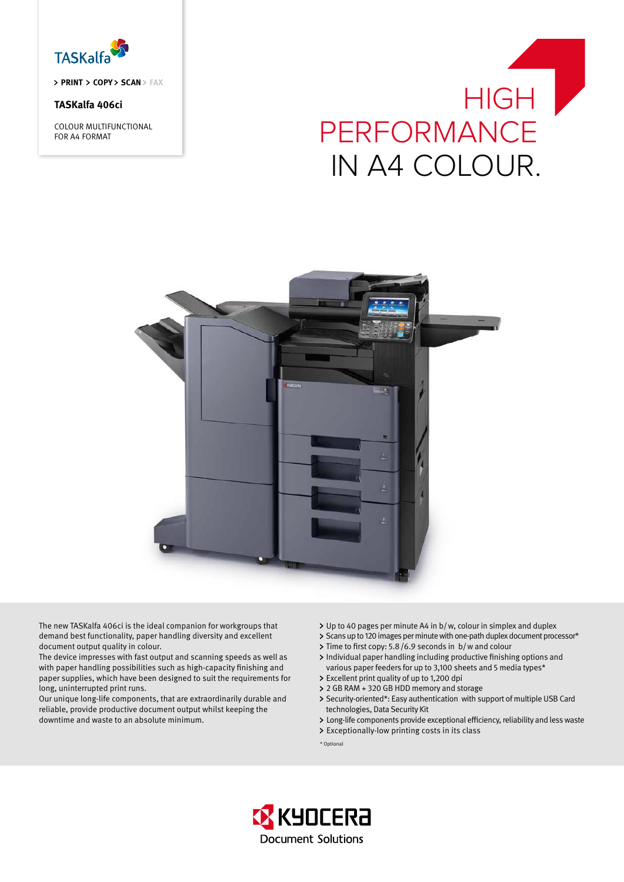

> PRINT > COPY > SCAN > FAX

# **TASKalfa 406ci**

COLOUR MULTIFUNCTIONAL FOR A4 FORMAT

# HIGH | PERFORMANCE IN A4 COLOUR.



The new TASKalfa 406ci is the ideal companion for workgroups that demand best functionality, paper handling diversity and excellent document output quality in colour.

The device impresses with fast output and scanning speeds as well as with paper handling possibilities such as high-capacity finishing and paper supplies, which have been designed to suit the requirements for long, uninterrupted print runs.

Our unique long-life components, that are extraordinarily durable and reliable, provide productive document output whilst keeping the downtime and waste to an absolute minimum.

- Up to 40 pages per minute A4 in b/w, colour in simplex and duplex
- > Scans up to 120 images per minute with one-path duplex document processor\*
- > Time to first copy: 5.8/6.9 seconds in b/w and colour
- Individual paper handling including productive finishing options and various paper feeders for up to 3,100 sheets and 5 media types\*
- Excellent print quality of up to 1,200 dpi 2 GB RAM + 320 GB HDD memory and storage
- > Security-oriented\*: Easy authentication with support of multiple USB Card technologies, Data Security Kit
- Long-life components provide exceptional efficiency, reliability and less waste
- Exceptionally-low printing costs in its class

\* Optional